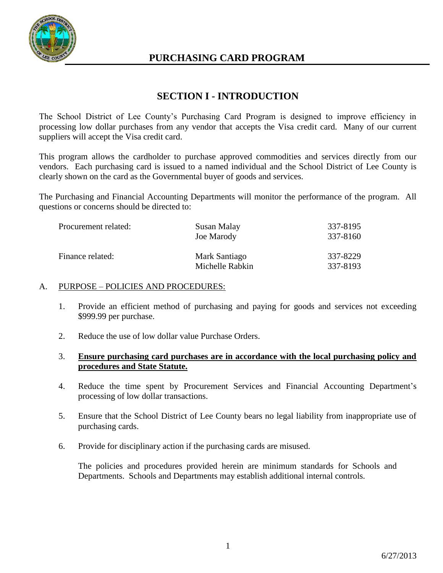

## **PURCHASING CARD PROGRAM**

## **SECTION I - INTRODUCTION**

The School District of Lee County's Purchasing Card Program is designed to improve efficiency in processing low dollar purchases from any vendor that accepts the Visa credit card. Many of our current suppliers will accept the Visa credit card.

This program allows the cardholder to purchase approved commodities and services directly from our vendors. Each purchasing card is issued to a named individual and the School District of Lee County is clearly shown on the card as the Governmental buyer of goods and services.

The Purchasing and Financial Accounting Departments will monitor the performance of the program. All questions or concerns should be directed to:

| Procurement related: | Susan Malay<br><b>Joe Marody</b> | 337-8195<br>337-8160 |
|----------------------|----------------------------------|----------------------|
| Finance related:     | Mark Santiago<br>Michelle Rabkin | 337-8229<br>337-8193 |

#### A. PURPOSE – POLICIES AND PROCEDURES:

- 1. Provide an efficient method of purchasing and paying for goods and services not exceeding \$999.99 per purchase.
- 2. Reduce the use of low dollar value Purchase Orders.
- 3. **Ensure purchasing card purchases are in accordance with the local purchasing policy and procedures and State Statute.**
- 4. Reduce the time spent by Procurement Services and Financial Accounting Department's processing of low dollar transactions.
- 5. Ensure that the School District of Lee County bears no legal liability from inappropriate use of purchasing cards.
- 6. Provide for disciplinary action if the purchasing cards are misused.

The policies and procedures provided herein are minimum standards for Schools and Departments. Schools and Departments may establish additional internal controls.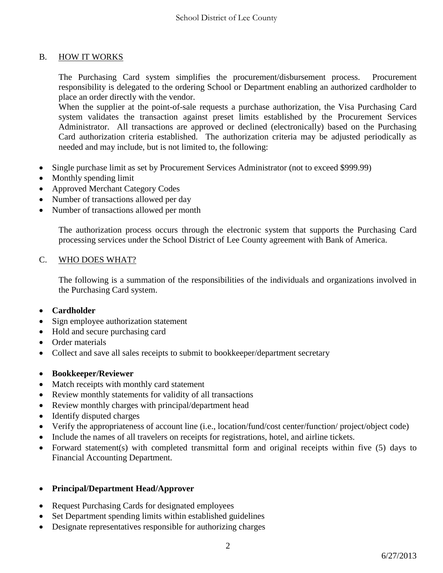#### B. HOW IT WORKS

The Purchasing Card system simplifies the procurement/disbursement process. Procurement responsibility is delegated to the ordering School or Department enabling an authorized cardholder to place an order directly with the vendor.

When the supplier at the point-of-sale requests a purchase authorization, the Visa Purchasing Card system validates the transaction against preset limits established by the Procurement Services Administrator. All transactions are approved or declined (electronically) based on the Purchasing Card authorization criteria established. The authorization criteria may be adjusted periodically as needed and may include, but is not limited to, the following:

- Single purchase limit as set by Procurement Services Administrator (not to exceed \$999.99)
- Monthly spending limit
- Approved Merchant Category Codes
- Number of transactions allowed per day
- Number of transactions allowed per month

The authorization process occurs through the electronic system that supports the Purchasing Card processing services under the School District of Lee County agreement with Bank of America.

#### C. WHO DOES WHAT?

The following is a summation of the responsibilities of the individuals and organizations involved in the Purchasing Card system.

- **Cardholder**
- Sign employee authorization statement
- Hold and secure purchasing card
- Order materials
- Collect and save all sales receipts to submit to bookkeeper/department secretary
- **Bookkeeper/Reviewer**
- Match receipts with monthly card statement
- Review monthly statements for validity of all transactions
- Review monthly charges with principal/department head
- Identify disputed charges
- Verify the appropriateness of account line (i.e., location/fund/cost center/function/ project/object code)
- Include the names of all travelers on receipts for registrations, hotel, and airline tickets.
- Forward statement(s) with completed transmittal form and original receipts within five (5) days to Financial Accounting Department.

#### **Principal/Department Head/Approver**

- Request Purchasing Cards for designated employees
- Set Department spending limits within established guidelines
- Designate representatives responsible for authorizing charges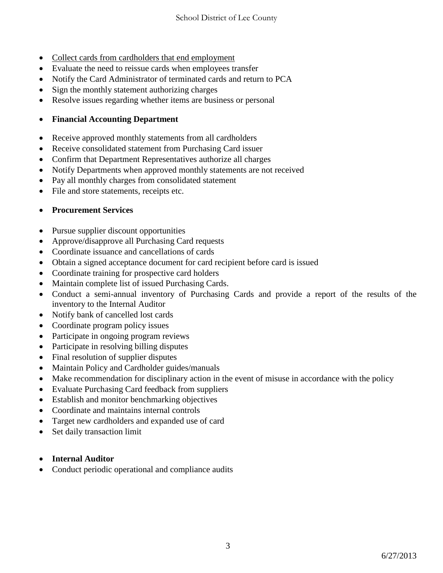- Collect cards from cardholders that end employment
- Evaluate the need to reissue cards when employees transfer
- Notify the Card Administrator of terminated cards and return to PCA
- Sign the monthly statement authorizing charges
- Resolve issues regarding whether items are business or personal

### **Financial Accounting Department**

- Receive approved monthly statements from all cardholders
- Receive consolidated statement from Purchasing Card issuer
- Confirm that Department Representatives authorize all charges
- Notify Departments when approved monthly statements are not received
- Pay all monthly charges from consolidated statement
- File and store statements, receipts etc.

### **Procurement Services**

- Pursue supplier discount opportunities
- Approve/disapprove all Purchasing Card requests
- Coordinate issuance and cancellations of cards
- Obtain a signed acceptance document for card recipient before card is issued
- Coordinate training for prospective card holders
- Maintain complete list of issued Purchasing Cards.
- Conduct a semi-annual inventory of Purchasing Cards and provide a report of the results of the inventory to the Internal Auditor
- Notify bank of cancelled lost cards
- Coordinate program policy issues
- Participate in ongoing program reviews
- Participate in resolving billing disputes
- Final resolution of supplier disputes
- Maintain Policy and Cardholder guides/manuals
- Make recommendation for disciplinary action in the event of misuse in accordance with the policy
- Evaluate Purchasing Card feedback from suppliers
- Establish and monitor benchmarking objectives
- Coordinate and maintains internal controls
- Target new cardholders and expanded use of card
- Set daily transaction limit
- **Internal Auditor**
- Conduct periodic operational and compliance audits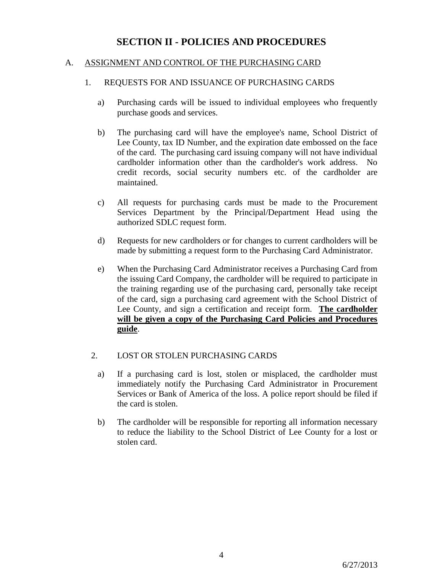## **SECTION II - POLICIES AND PROCEDURES**

#### A. ASSIGNMENT AND CONTROL OF THE PURCHASING CARD

#### 1. REQUESTS FOR AND ISSUANCE OF PURCHASING CARDS

- a) Purchasing cards will be issued to individual employees who frequently purchase goods and services.
- b) The purchasing card will have the employee's name, School District of Lee County, tax ID Number, and the expiration date embossed on the face of the card. The purchasing card issuing company will not have individual cardholder information other than the cardholder's work address. No credit records, social security numbers etc. of the cardholder are maintained.
- c) All requests for purchasing cards must be made to the Procurement Services Department by the Principal/Department Head using the authorized SDLC request form.
- d) Requests for new cardholders or for changes to current cardholders will be made by submitting a request form to the Purchasing Card Administrator.
- e) When the Purchasing Card Administrator receives a Purchasing Card from the issuing Card Company, the cardholder will be required to participate in the training regarding use of the purchasing card, personally take receipt of the card, sign a purchasing card agreement with the School District of Lee County, and sign a certification and receipt form. **The cardholder will be given a copy of the Purchasing Card Policies and Procedures guide**.

#### 2. LOST OR STOLEN PURCHASING CARDS

- a) If a purchasing card is lost, stolen or misplaced, the cardholder must immediately notify the Purchasing Card Administrator in Procurement Services or Bank of America of the loss. A police report should be filed if the card is stolen.
- b) The cardholder will be responsible for reporting all information necessary to reduce the liability to the School District of Lee County for a lost or stolen card.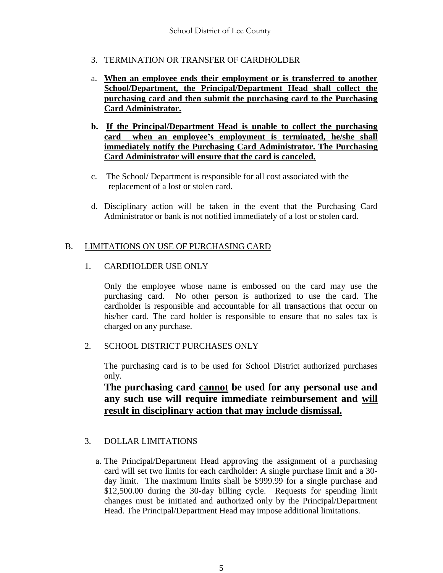- 3. TERMINATION OR TRANSFER OF CARDHOLDER
- a. **When an employee ends their employment or is transferred to another School/Department, the Principal/Department Head shall collect the purchasing card and then submit the purchasing card to the Purchasing Card Administrator.**
- **b. If the Principal/Department Head is unable to collect the purchasing card when an employee's employment is terminated, he/she shall immediately notify the Purchasing Card Administrator. The Purchasing Card Administrator will ensure that the card is canceled.**
- c. The School/ Department is responsible for all cost associated with the replacement of a lost or stolen card.
- d. Disciplinary action will be taken in the event that the Purchasing Card Administrator or bank is not notified immediately of a lost or stolen card.

### B. LIMITATIONS ON USE OF PURCHASING CARD

### 1. CARDHOLDER USE ONLY

Only the employee whose name is embossed on the card may use the purchasing card. No other person is authorized to use the card. The cardholder is responsible and accountable for all transactions that occur on his/her card. The card holder is responsible to ensure that no sales tax is charged on any purchase.

### 2. SCHOOL DISTRICT PURCHASES ONLY

The purchasing card is to be used for School District authorized purchases only.

**The purchasing card cannot be used for any personal use and any such use will require immediate reimbursement and will result in disciplinary action that may include dismissal.**

### 3. DOLLAR LIMITATIONS

 a. The Principal/Department Head approving the assignment of a purchasing card will set two limits for each cardholder: A single purchase limit and a 30 day limit. The maximum limits shall be \$999.99 for a single purchase and \$12,500.00 during the 30-day billing cycle. Requests for spending limit changes must be initiated and authorized only by the Principal/Department Head. The Principal/Department Head may impose additional limitations.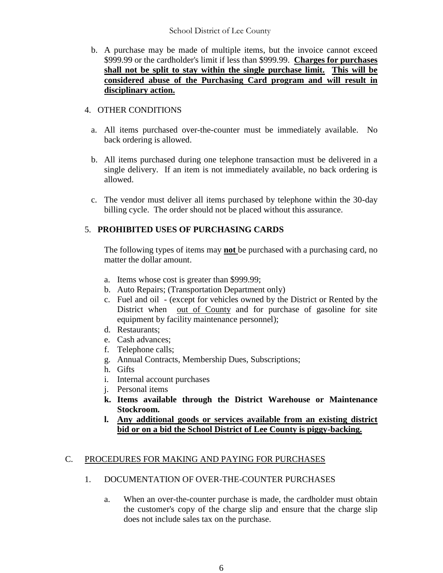#### School District of Lee County

b. A purchase may be made of multiple items, but the invoice cannot exceed \$999.99 or the cardholder's limit if less than \$999.99. **Charges for purchases shall not be split to stay within the single purchase limit. This will be considered abuse of the Purchasing Card program and will result in disciplinary action.**

### 4. OTHER CONDITIONS

- a. All items purchased over-the-counter must be immediately available. No back ordering is allowed.
- b. All items purchased during one telephone transaction must be delivered in a single delivery. If an item is not immediately available, no back ordering is allowed.
- c. The vendor must deliver all items purchased by telephone within the 30-day billing cycle. The order should not be placed without this assurance.

### 5. **PROHIBITED USES OF PURCHASING CARDS**

The following types of items may **not** be purchased with a purchasing card, no matter the dollar amount.

- a. Items whose cost is greater than \$999.99;
- b. Auto Repairs; (Transportation Department only)
- c. Fuel and oil (except for vehicles owned by the District or Rented by the District when out of County and for purchase of gasoline for site equipment by facility maintenance personnel);
- d. Restaurants;
- e. Cash advances;
- f. Telephone calls;
- g. Annual Contracts, Membership Dues, Subscriptions;
- h. Gifts
- i. Internal account purchases
- j. Personal items
- **k. Items available through the District Warehouse or Maintenance Stockroom.**
- **l. Any additional goods or services available from an existing district bid or on a bid the School District of Lee County is piggy-backing.**

### C. PROCEDURES FOR MAKING AND PAYING FOR PURCHASES

- 1. DOCUMENTATION OF OVER-THE-COUNTER PURCHASES
	- a. When an over-the-counter purchase is made, the cardholder must obtain the customer's copy of the charge slip and ensure that the charge slip does not include sales tax on the purchase.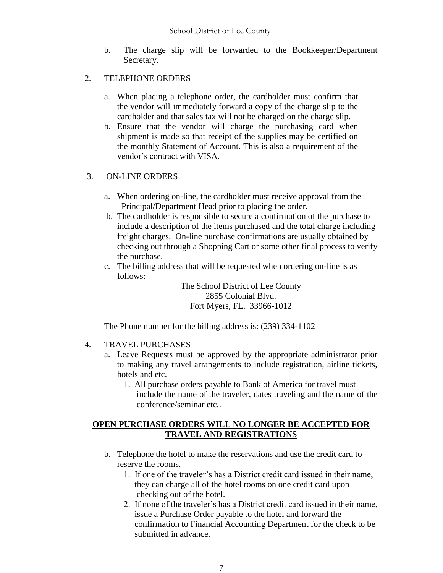b. The charge slip will be forwarded to the Bookkeeper/Department Secretary.

### 2. TELEPHONE ORDERS

- a. When placing a telephone order, the cardholder must confirm that the vendor will immediately forward a copy of the charge slip to the cardholder and that sales tax will not be charged on the charge slip.
- b. Ensure that the vendor will charge the purchasing card when shipment is made so that receipt of the supplies may be certified on the monthly Statement of Account. This is also a requirement of the vendor's contract with VISA.

### 3. ON-LINE ORDERS

- a. When ordering on-line, the cardholder must receive approval from the Principal/Department Head prior to placing the order.
- b. The cardholder is responsible to secure a confirmation of the purchase to include a description of the items purchased and the total charge including freight charges. On-line purchase confirmations are usually obtained by checking out through a Shopping Cart or some other final process to verify the purchase.
- c. The billing address that will be requested when ordering on-line is as follows:

The School District of Lee County 2855 Colonial Blvd. Fort Myers, FL. 33966-1012

The Phone number for the billing address is: (239) 334-1102

### 4. TRAVEL PURCHASES

- a. Leave Requests must be approved by the appropriate administrator prior to making any travel arrangements to include registration, airline tickets, hotels and etc.
	- 1. All purchase orders payable to Bank of America for travel must include the name of the traveler, dates traveling and the name of the conference/seminar etc..

### **OPEN PURCHASE ORDERS WILL NO LONGER BE ACCEPTED FOR TRAVEL AND REGISTRATIONS**

- b. Telephone the hotel to make the reservations and use the credit card to reserve the rooms.
	- 1. If one of the traveler's has a District credit card issued in their name, they can charge all of the hotel rooms on one credit card upon checking out of the hotel.
	- 2. If none of the traveler's has a District credit card issued in their name, issue a Purchase Order payable to the hotel and forward the confirmation to Financial Accounting Department for the check to be submitted in advance.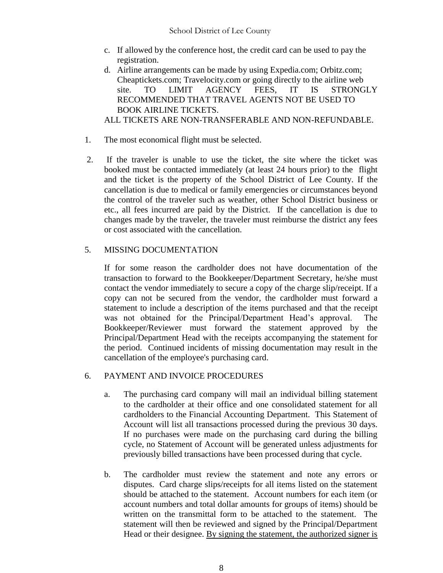- c. If allowed by the conference host, the credit card can be used to pay the registration.
- d. Airline arrangements can be made by using Expedia.com; Orbitz.com; Cheaptickets.com; Travelocity.com or going directly to the airline web site. TO LIMIT AGENCY FEES, IT IS STRONGLY RECOMMENDED THAT TRAVEL AGENTS NOT BE USED TO BOOK AIRLINE TICKETS. ALL TICKETS ARE NON-TRANSFERABLE AND NON-REFUNDABLE.
- 1. The most economical flight must be selected.
- 2. If the traveler is unable to use the ticket, the site where the ticket was booked must be contacted immediately (at least 24 hours prior) to the flight and the ticket is the property of the School District of Lee County. If the cancellation is due to medical or family emergencies or circumstances beyond the control of the traveler such as weather, other School District business or etc., all fees incurred are paid by the District. If the cancellation is due to changes made by the traveler, the traveler must reimburse the district any fees or cost associated with the cancellation.

### 5. MISSING DOCUMENTATION

If for some reason the cardholder does not have documentation of the transaction to forward to the Bookkeeper/Department Secretary, he/she must contact the vendor immediately to secure a copy of the charge slip/receipt. If a copy can not be secured from the vendor, the cardholder must forward a statement to include a description of the items purchased and that the receipt was not obtained for the Principal/Department Head's approval. The Bookkeeper/Reviewer must forward the statement approved by the Principal/Department Head with the receipts accompanying the statement for the period. Continued incidents of missing documentation may result in the cancellation of the employee's purchasing card.

### 6. PAYMENT AND INVOICE PROCEDURES

- a. The purchasing card company will mail an individual billing statement to the cardholder at their office and one consolidated statement for all cardholders to the Financial Accounting Department. This Statement of Account will list all transactions processed during the previous 30 days. If no purchases were made on the purchasing card during the billing cycle, no Statement of Account will be generated unless adjustments for previously billed transactions have been processed during that cycle.
- b. The cardholder must review the statement and note any errors or disputes. Card charge slips/receipts for all items listed on the statement should be attached to the statement. Account numbers for each item (or account numbers and total dollar amounts for groups of items) should be written on the transmittal form to be attached to the statement. The statement will then be reviewed and signed by the Principal/Department Head or their designee. By signing the statement, the authorized signer is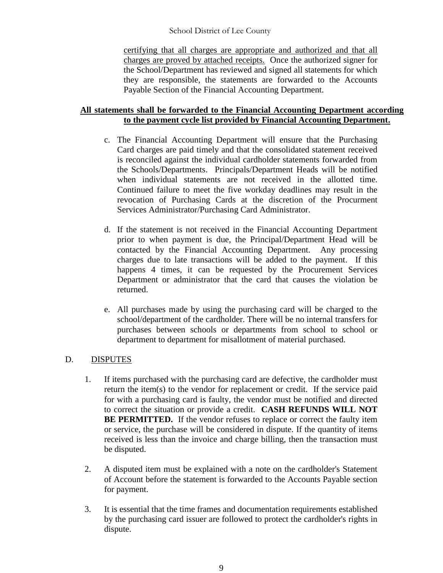School District of Lee County

certifying that all charges are appropriate and authorized and that all charges are proved by attached receipts. Once the authorized signer for the School/Department has reviewed and signed all statements for which they are responsible, the statements are forwarded to the Accounts Payable Section of the Financial Accounting Department.

#### **All statements shall be forwarded to the Financial Accounting Department according to the payment cycle list provided by Financial Accounting Department.**

- c. The Financial Accounting Department will ensure that the Purchasing Card charges are paid timely and that the consolidated statement received is reconciled against the individual cardholder statements forwarded from the Schools/Departments. Principals/Department Heads will be notified when individual statements are not received in the allotted time. Continued failure to meet the five workday deadlines may result in the revocation of Purchasing Cards at the discretion of the Procurment Services Administrator/Purchasing Card Administrator.
- d. If the statement is not received in the Financial Accounting Department prior to when payment is due, the Principal/Department Head will be contacted by the Financial Accounting Department. Any processing charges due to late transactions will be added to the payment. If this happens 4 times, it can be requested by the Procurement Services Department or administrator that the card that causes the violation be returned.
- e. All purchases made by using the purchasing card will be charged to the school/department of the cardholder. There will be no internal transfers for purchases between schools or departments from school to school or department to department for misallotment of material purchased.

### D. DISPUTES

- 1. If items purchased with the purchasing card are defective, the cardholder must return the item(s) to the vendor for replacement or credit. If the service paid for with a purchasing card is faulty, the vendor must be notified and directed to correct the situation or provide a credit. **CASH REFUNDS WILL NOT BE PERMITTED.** If the vendor refuses to replace or correct the faulty item or service, the purchase will be considered in dispute. If the quantity of items received is less than the invoice and charge billing, then the transaction must be disputed.
- 2. A disputed item must be explained with a note on the cardholder's Statement of Account before the statement is forwarded to the Accounts Payable section for payment.
- 3. It is essential that the time frames and documentation requirements established by the purchasing card issuer are followed to protect the cardholder's rights in dispute.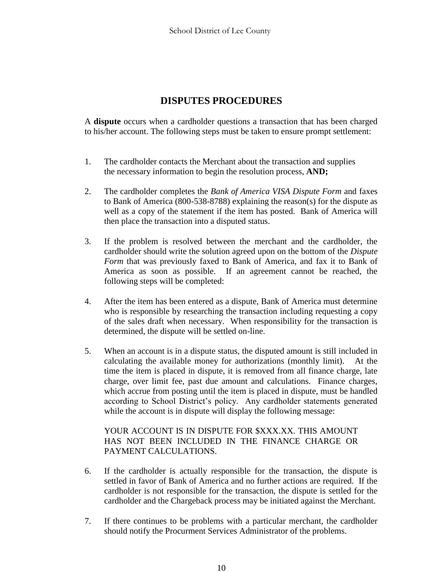## **DISPUTES PROCEDURES**

A **dispute** occurs when a cardholder questions a transaction that has been charged to his/her account. The following steps must be taken to ensure prompt settlement:

- 1. The cardholder contacts the Merchant about the transaction and supplies the necessary information to begin the resolution process, **AND;**
- 2. The cardholder completes the *Bank of America VISA Dispute Form* and faxes to Bank of America (800-538-8788) explaining the reason(s) for the dispute as well as a copy of the statement if the item has posted. Bank of America will then place the transaction into a disputed status.
- 3. If the problem is resolved between the merchant and the cardholder, the cardholder should write the solution agreed upon on the bottom of the *Dispute Form* that was previously faxed to Bank of America, and fax it to Bank of America as soon as possible. If an agreement cannot be reached, the following steps will be completed:
- 4. After the item has been entered as a dispute, Bank of America must determine who is responsible by researching the transaction including requesting a copy of the sales draft when necessary. When responsibility for the transaction is determined, the dispute will be settled on-line.
- 5. When an account is in a dispute status, the disputed amount is still included in calculating the available money for authorizations (monthly limit). At the time the item is placed in dispute, it is removed from all finance charge, late charge, over limit fee, past due amount and calculations. Finance charges, which accrue from posting until the item is placed in dispute, must be handled according to School District's policy. Any cardholder statements generated while the account is in dispute will display the following message:

#### YOUR ACCOUNT IS IN DISPUTE FOR \$XXX.XX. THIS AMOUNT HAS NOT BEEN INCLUDED IN THE FINANCE CHARGE OR PAYMENT CALCULATIONS.

- 6. If the cardholder is actually responsible for the transaction, the dispute is settled in favor of Bank of America and no further actions are required. If the cardholder is not responsible for the transaction, the dispute is settled for the cardholder and the Chargeback process may be initiated against the Merchant.
- 7. If there continues to be problems with a particular merchant, the cardholder should notify the Procurment Services Administrator of the problems.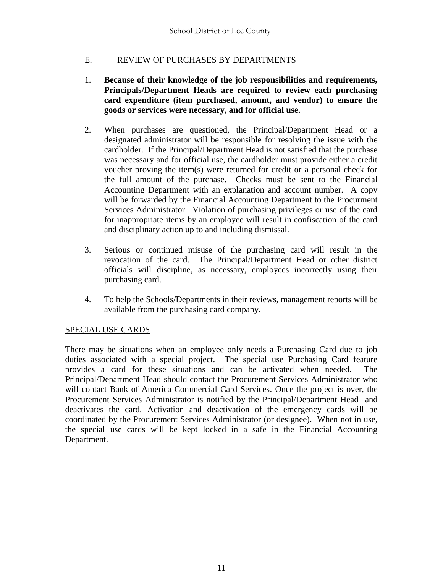### E. REVIEW OF PURCHASES BY DEPARTMENTS

- 1. **Because of their knowledge of the job responsibilities and requirements, Principals/Department Heads are required to review each purchasing card expenditure (item purchased, amount, and vendor) to ensure the goods or services were necessary, and for official use.**
- 2. When purchases are questioned, the Principal/Department Head or a designated administrator will be responsible for resolving the issue with the cardholder. If the Principal/Department Head is not satisfied that the purchase was necessary and for official use, the cardholder must provide either a credit voucher proving the item(s) were returned for credit or a personal check for the full amount of the purchase. Checks must be sent to the Financial Accounting Department with an explanation and account number. A copy will be forwarded by the Financial Accounting Department to the Procurment Services Administrator. Violation of purchasing privileges or use of the card for inappropriate items by an employee will result in confiscation of the card and disciplinary action up to and including dismissal.
- 3. Serious or continued misuse of the purchasing card will result in the revocation of the card. The Principal/Department Head or other district officials will discipline, as necessary, employees incorrectly using their purchasing card.
- 4. To help the Schools/Departments in their reviews, management reports will be available from the purchasing card company.

### SPECIAL USE CARDS

There may be situations when an employee only needs a Purchasing Card due to job duties associated with a special project. The special use Purchasing Card feature provides a card for these situations and can be activated when needed. The Principal/Department Head should contact the Procurement Services Administrator who will contact Bank of America Commercial Card Services. Once the project is over, the Procurement Services Administrator is notified by the Principal/Department Head and deactivates the card. Activation and deactivation of the emergency cards will be coordinated by the Procurement Services Administrator (or designee). When not in use, the special use cards will be kept locked in a safe in the Financial Accounting Department.